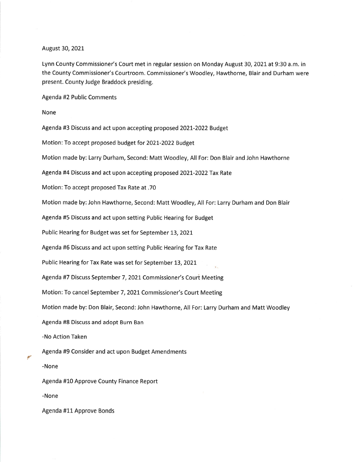## August 30,202L

Lynn County Commissioner's Court met in regular session on Monday August 30,2O2L at 9:30 a.m. in the County Commissioner's Courtroom. Commissioner's Woodley, Hawthorne, Blair and Durham were present. County Judge Braddock presiding.

Agenda #2 Public Comments

None

Agenda #3 Discuss and act upon accepting proposed 2021-2022 Budget

Motion: To accept proposed budget for 2021-2022 Budget

Motion made by: Larry Durham, Second: Matt Woodley, All For: Don Blair and John Hawthorne

Agenda #4 Discuss and act upon accepting proposed 2021-2022 Tax Rate

Motion: To accept proposed Tax Rate at .70

Motion made by:John Hawthorne, Second: Matt Woodley, All For: Larry Durham and Don Blair

Agenda #5 Discuss and act upon setting Public Hearing for Budget

Public Hearing for Budget was set for September 13, 2021

Agenda #6 Discuss and act upon setting Public Hearing for Tax Rate

Public Hearing for Tax Rate was set for September 13, 2021

Agenda #7 Discuss September 7, 2021 Commissioner's Court Meeting

Motion: To cancel September 7, 2021 Commissioner's Court Meeting

Motion made by: Don Blair, Second: John Hawthorne, All For: Larry Durham and Matt Woodley

Agenda #8 Discuss and adopt Burn Ban

-No Action Taken

Agenda #9 Consider and act upon Budget Amendments

-None

l/

Agenda #10 Approve County Finance Report

-None

Agenda #11 Approve Bonds